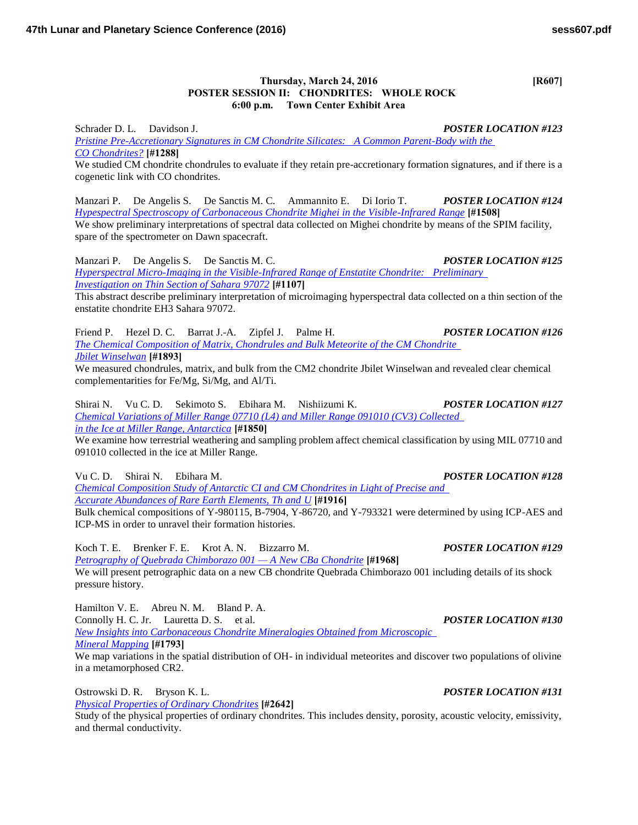## **Thursday, March 24, 2016 [R607] POSTER SESSION II: CHONDRITES: WHOLE ROCK 6:00 p.m. Town Center Exhibit Area**

Schrader D. L. Davidson J. *POSTER LOCATION #123 [Pristine Pre-Accretionary Signatures in CM Chondrite Silicates: A Common Parent-Body with the](http://www.hou.usra.edu/meetings/lpsc2016/pdf/1288.pdf)  [CO Chondrites?](http://www.hou.usra.edu/meetings/lpsc2016/pdf/1288.pdf)* **[#1288]**

We studied CM chondrite chondrules to evaluate if they retain pre-accretionary formation signatures, and if there is a cogenetic link with CO chondrites.

Manzari P. De Angelis S. De Sanctis M. C. Ammannito E. Di Iorio T. *POSTER LOCATION #124 [Hypespectral Spectroscopy of Carbonaceous Chondrite Mighei in the Visible-Infrared Range](http://www.hou.usra.edu/meetings/lpsc2016/pdf/1508.pdf)* **[#1508]** We show preliminary interpretations of spectral data collected on Mighei chondrite by means of the SPIM facility, spare of the spectrometer on Dawn spacecraft.

Manzari P. De Angelis S. De Sanctis M. C. *POSTER LOCATION #125 [Hyperspectral Micro-Imaging in the Visible-Infrared Range of Enstatite Chondrite: Preliminary](http://www.hou.usra.edu/meetings/lpsc2016/pdf/1107.pdf)  [Investigation on Thin Section of Sahara 97072](http://www.hou.usra.edu/meetings/lpsc2016/pdf/1107.pdf)* **[#1107]**

This abstract describe preliminary interpretation of microimaging hyperspectral data collected on a thin section of the enstatite chondrite EH3 Sahara 97072.

Friend P. Hezel D. C. Barrat J.-A. Zipfel J. Palme H. *POSTER LOCATION #126 [The Chemical Composition of Matrix, Chondrules and Bulk Meteorite of the CM Chondrite](http://www.hou.usra.edu/meetings/lpsc2016/pdf/1893.pdf)  [Jbilet Winselwan](http://www.hou.usra.edu/meetings/lpsc2016/pdf/1893.pdf)* **[#1893]**

We measured chondrules, matrix, and bulk from the CM2 chondrite Jbilet Winselwan and revealed clear chemical complementarities for Fe/Mg, Si/Mg, and Al/Ti.

Shirai N. Vu C. D. Sekimoto S. Ebihara M. Nishiizumi K. *POSTER LOCATION #127 [Chemical Variations of Miller Range 07710 \(L4\) and Miller Range 091010 \(CV3\) Collected](http://www.hou.usra.edu/meetings/lpsc2016/pdf/1850.pdf)  [in the Ice at Miller Range, Antarctica](http://www.hou.usra.edu/meetings/lpsc2016/pdf/1850.pdf)* **[#1850]**

We examine how terrestrial weathering and sampling problem affect chemical classification by using MIL 07710 and 091010 collected in the ice at Miller Range.

Vu C. D. Shirai N. Ebihara M. *POSTER LOCATION #128*

*[Chemical Composition Study of Antarctic CI and CM Chondrites in Light of Precise and](http://www.hou.usra.edu/meetings/lpsc2016/pdf/1916.pdf)  [Accurate Abundances of Rare Earth Elements, Th and U](http://www.hou.usra.edu/meetings/lpsc2016/pdf/1916.pdf)* **[#1916]** Bulk chemical compositions of Y-980115, B-7904, Y-86720, and Y-793321 were determined by using ICP-AES and ICP-MS in order to unravel their formation histories.

Koch T. E. Brenker F. E. Krot A. N. Bizzarro M. *POSTER LOCATION #129 [Petrography of Quebrada Chimborazo 001 — A New CBa Chondrite](http://www.hou.usra.edu/meetings/lpsc2016/pdf/1968.pdf)* **[#1968]**

We will present petrographic data on a new CB chondrite Quebrada Chimborazo 001 including details of its shock pressure history.

Hamilton V. E. Abreu N. M. Bland P. A. Connolly H. C. Jr. Lauretta D. S. et al. *POSTER LOCATION #130 [New Insights into Carbonaceous Chondrite Mineralogies Obtained from Microscopic](http://www.hou.usra.edu/meetings/lpsc2016/pdf/1793.pdf)  [Mineral Mapping](http://www.hou.usra.edu/meetings/lpsc2016/pdf/1793.pdf)* **[#1793]**

We map variations in the spatial distribution of OH- in individual meteorites and discover two populations of olivine in a metamorphosed CR2.

Ostrowski D. R. Bryson K. L. *POSTER LOCATION #131 [Physical Properties of Ordinary Chondrites](http://www.hou.usra.edu/meetings/lpsc2016/pdf/2642.pdf)* **[#2642]**

Study of the physical properties of ordinary chondrites. This includes density, porosity, acoustic velocity, emissivity, and thermal conductivity.